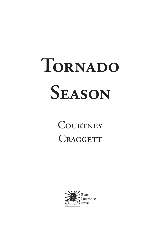# **TORNADO Season**

## **COURTNEY** CRAGGETT



Black<br>Lawrence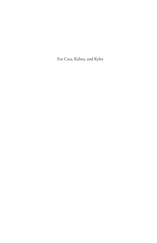For Cara, Kelsey, and Kylee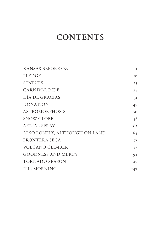## **CONTENTS**

| KANSAS BEFORE OZ              | $\mathbf I$ |
|-------------------------------|-------------|
| PLEDGE                        | IO          |
| <b>STATUES</b>                | 25          |
| CARNIVAL RIDE                 | 28          |
| DÍA DE GRACIAS                | 3I          |
| DONATION                      | 47          |
| <b>ASTROMORPHOSIS</b>         | 50          |
| <b>SNOW GLOBE</b>             | 58          |
| AERIAL SPRAY                  | 62          |
| ALSO LONELY, ALTHOUGH ON LAND | 64          |
| FRONTERA SECA                 | 75          |
| VOLCANO CLIMBER               | 83          |
| GOODNESS AND MERCY            | 92          |
| TORNADO SEASON                | IO7         |
| 'TIL MORNING                  | I47         |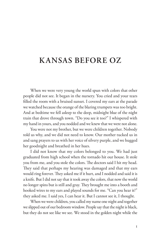## **KANSAS BEFORE OZ**

When we were very young the world spun with colors that other people did not see. It began in the nursery. You cried and your tears filled the room with a bruised sunset. I covered my ears at the parade we watched because the orange of the blaring trumpets was too bright. And at bedtime we fell asleep to the deep, midnight blue of the night train that drove through town. "Do you see it too?" I whispered with my hand in yours, and you nodded and we knew that we were not alone.

You were not my brother, but we were children together. Nobody told us why, and we did not need to know. Our mother tucked us in and sang prayers to us with her voice of silvery purple, and we hugged her goodnight and breathed in her hues.

I did not know that my colors belonged to you. We had just graduated from high school when the tornado hit our house. It stole you from me, and you stole the colors. The doctors said I hit my head. They said that perhaps my hearing was damaged and that my ears would ring forever. They asked me if it hurt, and I nodded and said it is a knife. But I did not say that it took away the colors, that now the world no longer spins but is still and gray. They brought me into a booth and hooked wires to my ears and played sounds for me. "Can you hear it?" they asked me. I said yes, I can hear it. But I cannot see it, I thought.

When we were children, you called my name one night and together we slipped out of our bedroom window. People say that the night is black, but they do not see like we see. We stood in the golden night while the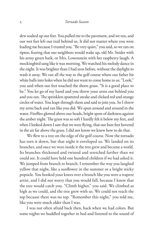### 2 *Tornado Season*

dew soaked up our feet. You pulled me to the pavement, and we ran, and our wet feet left our trail behind us. It did not matter where you were leading me because I trusted you. "Be very quiet," you said, so we ran on tiptoe, fearing that our neighbors would wake up, old Mr. Snider with his army green bark, or Mrs. Lowenstein with her raspberry laugh. A mockingbird sang like it was morning. We watched his melody dance in the night. It was brighter than I had seen before, without the daylight to wash it away. We ran all the way to the golf course where our father hit white balls into holes when he did not want to come home to us. "Look," you said when our feet touched the shorn grass. "It is a good place to be." You let go of my hand and you threw your arms out behind you and you ran. The sprinklers sputtered awake and clicked red and orange circles of water. You leapt through them and said to join you. So I threw my arms back and ran like you did. We spun around and around in the water. Fireflies glowed above our heads, bright spots of darkness against the amber night. The grass was so soft I hardly felt it below my feet, and when I looked down I saw that we were flying, that our bare feet hovered in the air far above the grass. I did not know we knew how to do that.

We flew to a tree on the edge of the golf course. Now the tornado has torn it down, but that night it enveloped us. We landed on its branches, and once we were inside it the tree grew and became a world. Its branches thickened and twisted and stretched farther than we could see. It could have held one hundred children if we had asked it. We jumped from branch to branch. I remember the way you laughed yellow that night, like a sunflower in the summer or a bright sticky popsicle. You hooked your knees over a branch like you were a trapeze artist, and I did not worry that you would fall, because I knew that the tree would catch you. "Climb higher," you said. We climbed as high as we could, and the tree grew with us. We could not reach the top because there was no top. "Remember this night," you told me, like you were much older than I was.

I was not often afraid back then, back when we had colors. But some nights we huddled together in bed and listened to the sound of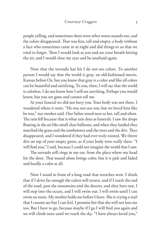people yelling, and sometimes there were other worse sounds too, and the colors disappeared. That was fear, tall and empty, a body without a face who sometimes came in at night and did things to us that we tried to forget. Then I would look at you and see your breath hitting the air, and I would close my eyes and be unafraid again.

Now that the tornado has hit I do not see colors. To another person I would say that the world is gray, an old-fashioned movie, Kansas before Oz, but you know that gray is a color and like all colors can be beautiful and satisfying. To you, then, I will say that the world is colorless. I do not know how I still see anything. Perhaps you would know, but you are gone and cannot tell me.

At your funeral we did not bury you. Your body was not there. I wondered where it went. "He was not our son, but we loved him like he was," our mother said. Our father stood next to her, tall and silent. The rain fell because that is what rain does at funerals. I saw the drops floating in the air like small clear balloons, and when they landed they matched the grass and the tombstones and the trees and the dirt. They disappeared, and I wondered if they had ever truly existed. We threw dirt on top of your empty grave, as if your body were really there. "I will find you," I said, because I could not imagine the world that I saw.

The tornado still rings in my ear, from the place where my head hit the door. That sound alone brings color, but it is pale and faded and hardly a color at all.

Now I stand in front of a long road that stretches west. I think that if I drive far enough the colors will return, and if I reach the end of the road, past the mountains and the deserts, and they have not, I will step into the ocean, and I will swim out. I will swim until I can swim no more. My mother holds me before I leave. She is crying a wail that I cannot see but I can feel. I promise her that she will not lose me too. But I have to go, because maybe if I go I will find you again and we will climb trees until we reach the sky. "I have always loved you,"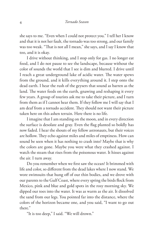she says to me. "Even when I could not protect you." I tell her I know and that it is not her fault, the tornado was too strong, and our family was too weak. "That is not all I mean," she says, and I say I know that too, and it is okay.

I drive without thinking, and I stop only for gas. I no longer eat food, and I do not pause to see the landscape, because without the color of sounds the world that I see is dim and blurred. I drive until I reach a great underground lake of acidic water. The water spews from the ground, and it kills everything around it. I step onto the dead earth. I hear the rush of the geysers that sound as barren as the land. The water feeds on the earth, gnawing and reshaping it every few years. A group of tourists ask me to take their picture, and I turn from them as if I cannot hear them. If they follow me I will say that I am deaf from a tornado accident. They should not want their picture taken here on this ashen terrain. Here there is no life.

I imagine that I am standing on the moon, and in every direction the surface is desolate and gray. Even the flag planted so boldly has now faded. I hear the shouts of my fellow astronauts, but their voices are hollow. They echo against miles and miles of emptiness. How can sound be seen when it has nothing to crash into? Maybe that is why the colors are gone. Maybe you were what they crashed against. I watch the steam that rises from the poisonous water. It hisses against the air. I turn away.

Do you remember when we first saw the ocean? It brimmed with life and color, so different from the dead lakes where I now stand. We wore swimsuits that hung off of our thin bodies, and we drove with our parents to the Gulf Coast, where every spring the birds flock from Mexico, pink and blue and gold spots in the rosy morning sky. We dipped our toes into the water. It was as warm as the air. It dissolved the sand from our legs. You pointed far into the distance, where the colors of the horizon became one, and you said, "I want to go out there"

"It is too deep," I said. "We will drown."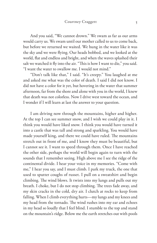And you said, "We cannot drown." We swam as far as our arms would carry us. We swam until our mother called to us to come back, but before we returned we waited. We hung in the water like it was the sky and we were flying. Our heads bobbed, and we looked at the world, flat and endless and bright, and when the waves splashed their salt we watched it fly into the air. "This is how I want to die," you said. "I want the water to swallow me. I would not mind."

"Don't talk like that," I said. "It's creepy." You laughed at me and asked me what was the color of death. I said I did not know. I did not have a color for it yet, but hovering in the water that summer afternoon, far from the shore and alone with you in the world, I knew that death was not colorless. Now I drive west toward the ocean, and I wonder if I will learn at last the answer to your question.

I am driving now through the mountains, higher and higher. At the top I can see summer snow, and I wish we could play in it. I think you would have liked snow. I think you would have turned it into a castle that was tall and strong and sparkling. You would have made yourself king, and there we could have ruled. The mountains stretch out in front of me, and I know they must be beautiful, but I cannot see it. I want to speed through them. Once I have reached the other side, perhaps the world will begin again to turn with the sounds that I remember seeing. High above me I see the ridge of the continental divide. I hear your voice in my memories. "Come with me," I hear you say, and I must climb. I park my truck, the one that used to sputter coughs of russet. I pull on a sweatshirt and begin climbing. The wind blows. It twists into my lungs and pulls out my breath. I choke, but I do not stop climbing. The trees fade away, and my skin cracks in the cold, dry air. I clutch at rocks to keep from falling. When I climb everything hurts—my lungs and my knees and my head from the tornado. The wind rushes into my ear and echoes in my head so loudly that I feel blind. I stumble to the top and stand on the mountain's ridge. Below me the earth stretches out with pools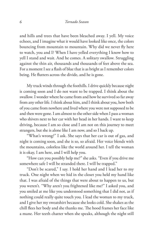### 6 *Tornado Season*

and hills and trees that have been bleached away. I yell. My voice echoes, and I imagine what it would have looked like once, the colors bouncing from mountain to mountain. Why did we never fly here to watch, you and I? When I have yelled everything I know how to yell I stand and wait. And he comes. A solitary swallow. Struggling against the thin air, thousands and thousands of feet above the sea. For a moment I see a flash of blue that is as bright as I remember colors being. He flutters across the divide, and he is gone.

My truck winds through the foothills. I drive quickly because night is coming soon and I do not want to be trapped. I think about the swallow. I wonder where he came from and how he survived so far away from any other life. I think about him, and I think about you, how both of you came from nowhere and lived where you were not supposed to be and then were gone. I am almost to the other side when I pass a woman who shivers next to her car with her head in her hands. I want to keep driving, because I am so close and I am not on this journey to meet strangers, but she is alone like I am now, and so I back up.

"What's wrong?" I ask. She says that her car is out of gas, and night is coming soon, and she is so, so afraid. Her voice blends with the mountains, colorless like the world around her. I tell the woman it is okay, I am here, and I will help you.

"How can you possibly help me?" she asks. "Even if you drive me somewhere safe I will be stranded there. I will be trapped."

"Don't be scared," I say. I hold her hand and I lead her to my truck. One night when we hid in the closet you held my hand like that. I was afraid of the things that were about to happen to us, but you weren't. "Why aren't you frightened like me?" I asked you, and you smiled at me like you understood something that I did not, as if nothing could really quite touch you. I lead the woman to my truck, and I give her my sweatshirt because she looks cold. She shakes as the chill flees her body and she thanks me. The hood frames her face like a mane. Her teeth chatter when she speaks, although the night still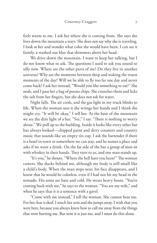feels warm to me. I ask her where she is coming from. She says she lives down the mountain a ways. She does not say why she is traveling. I look at her and wonder what color she would have been. I can see it faintly, a washed-out blue that shimmers above her head.

We drive down the mountain. I want to keep her talking, but I do not know what to ask. The questions I used to ask you sound so silly now. Where are the other parts of me? Do they live in another universe? Why are the moments between sleep and waking the truest moments of the day? Will we be able to fly too far one day and never come back? I ask her instead, "Would you like something to eat?" She nods, and I pass her a bag of potato chips. She crunches them and licks the salt from her fingers, but she does not ask for water.

Night falls. The air cools, and the gas light in my truck blinks to life. When the woman sees it she wrings her hands and I think she might cry. "It will be okay," I tell her. At the base of the mountain we see the dim light of a bar. "See," I say. "There is nothing to worry about." We pull up to the building. Inside it looks like every other bar has always looked—chipped paint and dirty counters and country music that sounds like an empty tin cup. I ask the bartender if there is a hotel in town or somewhere we can stay, and he names a place and asks if we want a drink. On the far side of the bar a group of men sit with whiskey in their hands. They turn to us, and one man stands up.

"It's you," he shouts. "Where the hell have you been?" The woman cowers. She ducks behind me, although my body is still small like a child's body. When the man steps near, his face disappears, and I know that he would be colorless, even if I had not hit my head in the tornado. His arms are bare and cold. He wears heavy boots. "You're coming back with me," he says to the woman. "You are my wife," and when he says that it is a sentence with a gavel.

"Come with me instead," I tell the woman. She cannot hear me. For her, fear is deaf. I touch her arm and she jumps away. I wish that you were here, because you always knew how to call me away from the things that were hurting me. But now it is just me, and I must do this alone.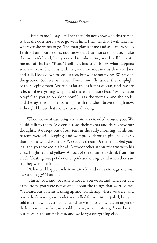### 8 *Tornado Season*

"Listen to me," I say. I tell her that I do not know who this person is, but she does not have to go with him. I tell her that I will take her wherever she wants to go. The man glares at me and asks me who do I think I am, but he does not know that I cannot see his face. I take the woman's hand, like you used to take mine, and I pull her with me out of the bar. "Run," I tell her, because I know what happens when we run. She runs with me, over the mountains that are dark and still. I look down to see our feet, but we are not flying. We stay on the ground. Still we run, even if we cannot fly, under the lamplight of the sleeping town. We run as far and as fast as we can, until we are safe, until everything is right and there is no more fear. "Will you be okay? Can you go on alone now?" I ask the woman, and she nods, and she says through her panting breath that she is brave enough now, although I know that she was brave all along.

When we went camping, the animals crowded around you. We could talk to them. We could read their colors and they knew our thoughts. We crept out of our tent in the early morning, while our parents were still sleeping, and we tiptoed through pine needles so that no one would wake up. We sat at a stream. A turtle nuzzled your leg, and you stroked his head. A woodpecker sat on my arm with his chest bright red and yellow. A flock of sheep came to drink from the creek, bleating rose petal cries of pink and orange, and when they saw us, they were unafraid.

"What will happen when we are old and our skin sags and our eyes are foggy?" I asked.

"Hush," you said, because whoever you were, and wherever you came from, you were not worried about the things that worried me. We heard our parents waking up and wondering where we were, and our father's voice grew louder and yelled for us until it paled, but you told me that whatever happened when we got back, whatever anger or darkness we must face, we could survive, we were strong. So we buried our faces in the animals' fur, and we forgot everything else.